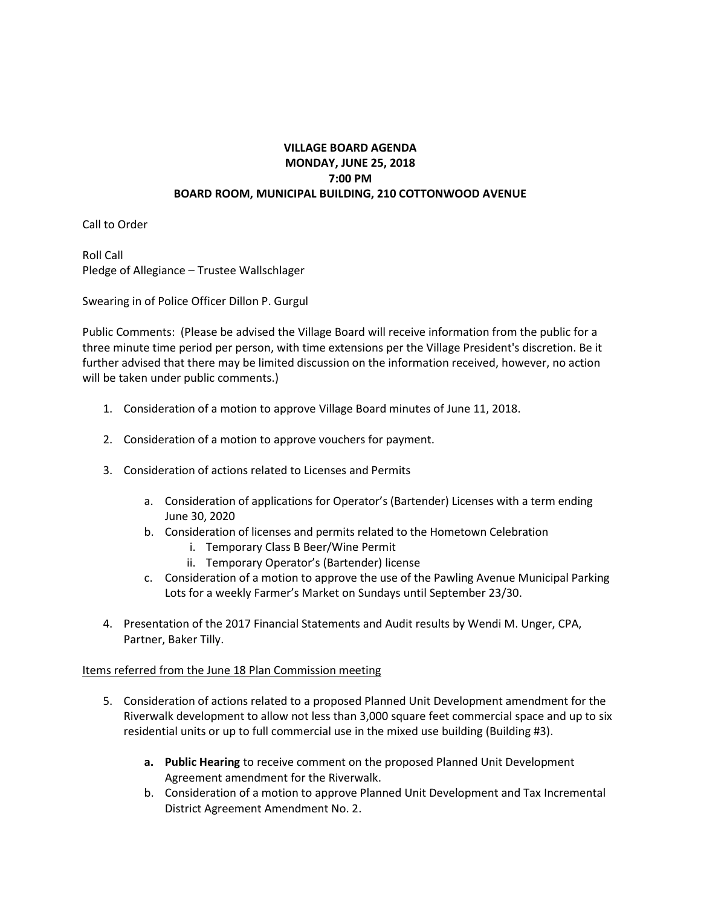## **VILLAGE BOARD AGENDA MONDAY, JUNE 25, 2018 7:00 PM BOARD ROOM, MUNICIPAL BUILDING, 210 COTTONWOOD AVENUE**

Call to Order

Roll Call Pledge of Allegiance – Trustee Wallschlager

Swearing in of Police Officer Dillon P. Gurgul

Public Comments: (Please be advised the Village Board will receive information from the public for a three minute time period per person, with time extensions per the Village President's discretion. Be it further advised that there may be limited discussion on the information received, however, no action will be taken under public comments.)

- 1. Consideration of a motion to approve Village Board minutes of June 11, 2018.
- 2. Consideration of a motion to approve vouchers for payment.
- 3. Consideration of actions related to Licenses and Permits
	- a. Consideration of applications for Operator's (Bartender) Licenses with a term ending June 30, 2020
	- b. Consideration of licenses and permits related to the Hometown Celebration
		- i. Temporary Class B Beer/Wine Permit
		- ii. Temporary Operator's (Bartender) license
	- c. Consideration of a motion to approve the use of the Pawling Avenue Municipal Parking Lots for a weekly Farmer's Market on Sundays until September 23/30.
- 4. Presentation of the 2017 Financial Statements and Audit results by Wendi M. Unger, CPA, Partner, Baker Tilly.

## Items referred from the June 18 Plan Commission meeting

- 5. Consideration of actions related to a proposed Planned Unit Development amendment for the Riverwalk development to allow not less than 3,000 square feet commercial space and up to six residential units or up to full commercial use in the mixed use building (Building #3).
	- **a. Public Hearing** to receive comment on the proposed Planned Unit Development Agreement amendment for the Riverwalk.
	- b. Consideration of a motion to approve Planned Unit Development and Tax Incremental District Agreement Amendment No. 2.